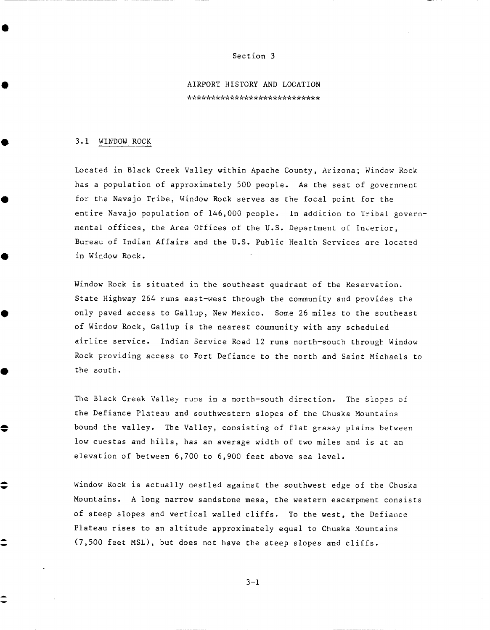## Section 3

## AIRPORT HISTORY AND LOCATION \*\*\*\*\*\*\*\*\*\*\*\*\*\*\*\*\*\*\*\*\*\*\*\*\*\*

## 3.1 WINDOW ROCK

●

≎

Located in Black Creek Valley within Apache County, Arizona; Window Rock has a population of approximately 500 people. As the seat of government for the Navajo Tribe, Window Rock serves as the focal point for the entire Navajo population of 146,000 people. In addition to Tribal governmental offices, the Area Offices of the U.S. Department of Interior, Bureau of Indian Affairs and the U.S. Public Health Services are located in Window Rock.

Window Rock is situated in the southeast quadrant of the Reservation. State Highway 264 runs east-west through the community and provides the only paved access to Gallup, New Mexico. Some 26 miles to the southeast of Window Rock, Gallup is the nearest community with any scheduled airline service. Indian Service Road 12 runs north-south through Window Rock providing access to Fort Defiance to the north and Saint Michaels to the south.

The Black Creek Valley runs in a north-south direction. The slopes of the Defiance Plateau and southwestern slopes of the Chuska Mountains bound the valley. The Valley, consisting of flat grassy plains between low cuestas and hills, has an average width of two miles and is at an elevation of between 6,700 to 6,900 feet above sea level.

Window Rock is actually nestled against the southwest edge of the Chuska Mountains. A long narrow sandstone mesa, the western escarpment consists of steep slopes and vertical walled cliffs. To the west, the Defiance Plateau rises to an altitude approximately equal to Chuska Mountains (7,500 feet MSL), but does not have the steep slopes and cliffs.

 $3 - 1$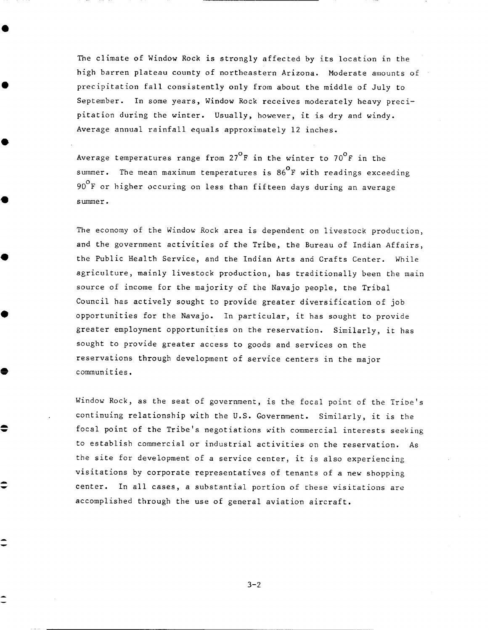The climate of Window Rock is strongly affected by its location in the high barren plateau county of northeastern Arizona. Moderate amounts of precipitation fall consistently only from about the middle of July to September. In some years, Window Rock receives moderately heavy precipitation during the winter. Usually, however, it is dry and windy. Average annual rainfall equals approximately 12 inches.

Average temperatures range from 27 $^{\circ}$ F in the winter to 70 $^{\circ}$ F in the summer. The mean maximum temperatures is  $86^{\circ}$ F with readings exceeding  $90^{\circ}$ F or higher occuring on less than fifteen days during an average summer.

The economy of the Window Rock area is dependent on livestock production, and the government activities of the Tribe, the Bureau of Indian Affairs, the Public Health Service, and the Indian Arts and Crafts Center. Wbile agriculture, mainly livestock production, has traditionally been the main source of income for the majority of the Navajo people, the Tribal Council has actively sought to provide greater diversification of job opportunities for the Navajo. In particular, it has sought to provide greater employment opportunities on the reservation. Similarly, it has sought to provide greater access to goods and services on the reservations through development of service centers in the major communities.

Window Rock, as the seat of government, is the focal point of the Tribe's continuing relationship with the U.S. Government. Similarly, it is the focal point of the Tribe's negotiations with commercial interests seeking to establish commercial or industrial activities on the reservation. As the site for development of a service center, it is also experiencing visitations by corporate representatives of tenants of a new shopping center. In all cases, a substantial portion of these visitations are accomplished through the use of general aviation aircraft.

 $3 - 2$